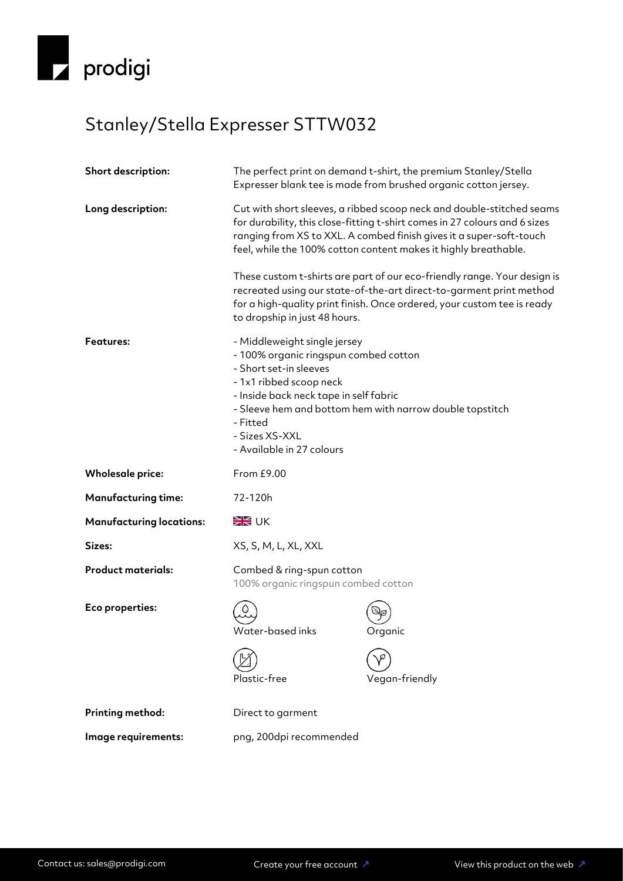

## Stanley/Stella Expresser STTW032

| Short description:              | The perfect print on demand t-shirt, the premium Stanley/Stella<br>Expresser blank tee is made from brushed organic cotton jersey.                                                                                                                                                            |                |
|---------------------------------|-----------------------------------------------------------------------------------------------------------------------------------------------------------------------------------------------------------------------------------------------------------------------------------------------|----------------|
| Long description:               | Cut with short sleeves, a ribbed scoop neck and double-stitched seams<br>for durability, this close-fitting t-shirt comes in 27 colours and 6 sizes<br>ranging from XS to XXL. A combed finish gives it a super-soft-touch<br>feel, while the 100% cotton content makes it highly breathable. |                |
|                                 | These custom t-shirts are part of our eco-friendly range. Your design is<br>recreated using our state-of-the-art direct-to-garment print method<br>for a high-quality print finish. Once ordered, your custom tee is ready<br>to dropship in just 48 hours.                                   |                |
| <b>Features:</b>                | - Middleweight single jersey<br>- 100% organic ringspun combed cotton<br>- Short set-in sleeves<br>- 1x1 ribbed scoop neck<br>- Inside back neck tape in self fabric<br>- Sleeve hem and bottom hem with narrow double topstitch<br>- Fitted<br>- Sizes XS-XXL<br>- Available in 27 colours   |                |
| <b>Wholesale price:</b>         | From £9.00                                                                                                                                                                                                                                                                                    |                |
| <b>Manufacturing time:</b>      | 72-120h                                                                                                                                                                                                                                                                                       |                |
| <b>Manufacturing locations:</b> | <b>SK</b> UK                                                                                                                                                                                                                                                                                  |                |
| Sizes:                          | XS, S, M, L, XL, XXL                                                                                                                                                                                                                                                                          |                |
| <b>Product materials:</b>       | Combed & ring-spun cotton<br>100% organic ringspun combed cotton                                                                                                                                                                                                                              |                |
| Eco properties:                 | Water-based inks                                                                                                                                                                                                                                                                              | Organic        |
|                                 | Plastic-free                                                                                                                                                                                                                                                                                  | Vegan-friendly |
| Printing method:                | Direct to garment                                                                                                                                                                                                                                                                             |                |
| Image requirements:             | png, 200dpi recommended                                                                                                                                                                                                                                                                       |                |